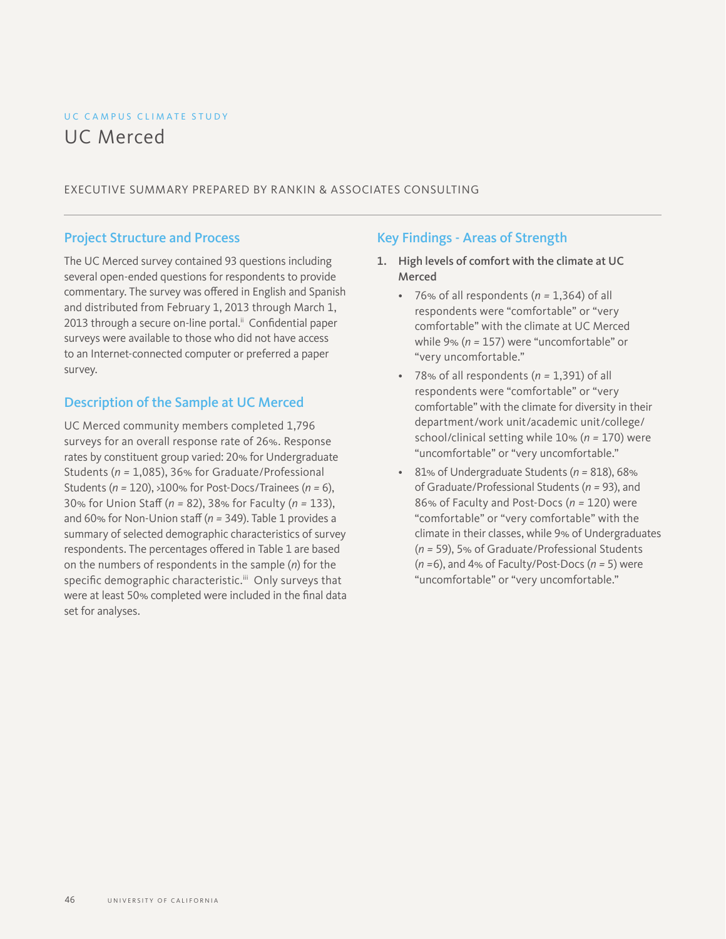# UC CAMPUS CLIMATE STUDY UC Merced

#### EXECUTIVE SUMMARY PREPARED BY RANKIN & ASSOCIATES CONSULTING

### Project Structure and Process

The UC Merced survey contained 93 questions including several open-ended questions for respondents to provide commentary. The survey was offered in English and Spanish and distributed from February 1, 2013 through March 1, 2013 through a secure on-line portal.<sup>ii</sup> Confidential paper surveys were available to those who did not have access to an Internet-connected computer or preferred a paper survey.

### Description of the Sample at UC Merced

UC Merced community members completed 1,796 surveys for an overall response rate of 26%. Response rates by constituent group varied: 20% for Undergraduate Students (*n =* 1,085), 36% for Graduate/Professional Students (*n =* 120), >100% for Post-Docs/Trainees (*n =* 6), 30% for Union Staff (*n =* 82), 38% for Faculty (*n =* 133), and 60% for Non-Union staff (*n =* 349). Table 1 provides a summary of selected demographic characteristics of survey respondents. The percentages offered in Table 1 are based on the numbers of respondents in the sample (*n*) for the specific demographic characteristic.<sup>iii</sup> Only surveys that were at least 50% completed were included in the final data set for analyses.

### Key Findings - Areas of Strength

- 1. High levels of comfort with the climate at UC Merced
	- 76% of all respondents (*n =* 1,364) of all respondents were "comfortable" or "very comfortable" with the climate at UC Merced while 9% (*n =* 157) were "uncomfortable" or "very uncomfortable."
	- 78% of all respondents (*n =* 1,391) of all respondents were "comfortable" or "very comfortable" with the climate for diversity in their department/work unit/academic unit/college/ school/clinical setting while 10% (*n =* 170) were "uncomfortable" or "very uncomfortable."
	- 81% of Undergraduate Students (*n =* 818), 68% of Graduate/Professional Students (*n =* 93), and 86% of Faculty and Post-Docs (*n =* 120) were "comfortable" or "very comfortable" with the climate in their classes, while 9% of Undergraduates (*n =* 59), 5% of Graduate/Professional Students (*n =*6), and 4% of Faculty/Post-Docs (*n =* 5) were "uncomfortable" or "very uncomfortable."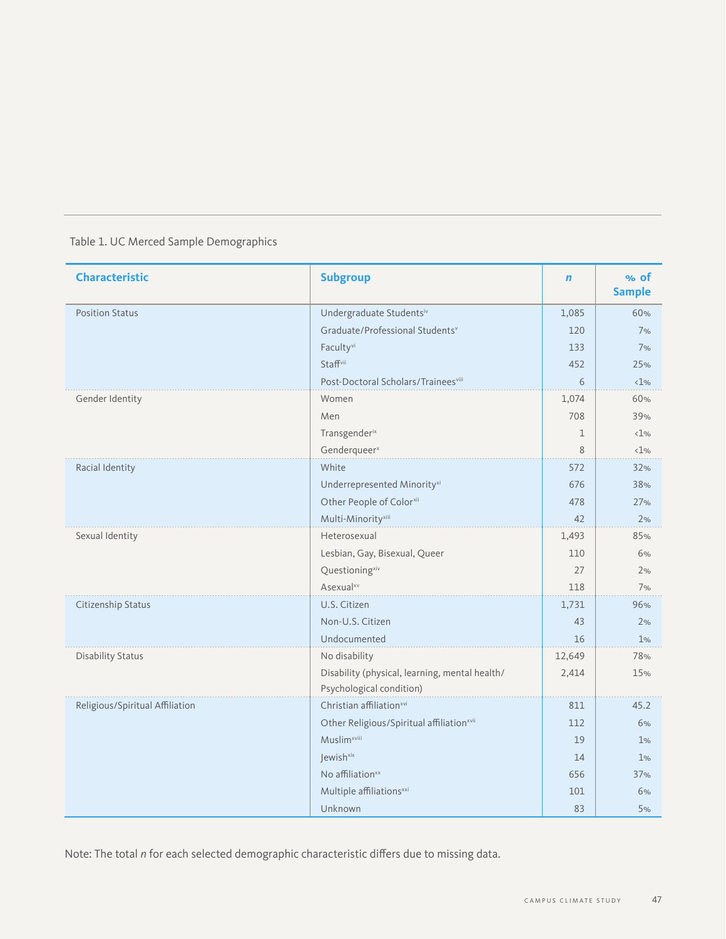|  | Table 1. UC Merced Sample Demographics |
|--|----------------------------------------|

| <b>Characteristic</b>           | <b>Subgroup</b>                                | $\mathbf n$ | % of<br><b>Sample</b> |
|---------------------------------|------------------------------------------------|-------------|-----------------------|
| <b>Position Status</b>          | Undergraduate Studentsiv                       | 1,085       | 60%                   |
|                                 | Graduate/Professional Students <sup>v</sup>    | 120         | 7%                    |
|                                 | Faculty <sup>vi</sup>                          | 133         | 7%                    |
|                                 | Staffvii                                       | 452         | 25%                   |
|                                 | Post-Doctoral Scholars/Traineesviii            | 6           | $\langle 1\%$         |
| Gender Identity                 | Women                                          | 1,074       | 60%                   |
|                                 | Men                                            | 708         | 39%                   |
|                                 | Transgenderix                                  | $\mathbf 1$ | $\langle 1\%$         |
|                                 | Genderqueer <sup>x</sup>                       | 8           | $\langle 1\%$         |
| Racial Identity                 | White                                          | 572         | 32%                   |
|                                 | Underrepresented Minority <sup>xi</sup>        | 676         | 38%                   |
|                                 | Other People of Colorxii                       | 478         | 27%                   |
|                                 | Multi-Minority <sup>xiii</sup>                 | 42          | 2%                    |
| Sexual Identity                 | Heterosexual                                   | 1,493       | 85%                   |
|                                 | Lesbian, Gay, Bisexual, Queer                  | 110         | 6%                    |
|                                 | Questioning <sup>xiv</sup>                     | 27          | 2%                    |
|                                 | Asexual <sup>xv</sup>                          | 118         | 7%                    |
| Citizenship Status              | U.S. Citizen                                   | 1,731       | 96%                   |
|                                 | Non-U.S. Citizen                               | 43          | 2%                    |
|                                 | Undocumented                                   | 16          | 1%                    |
| <b>Disability Status</b>        | No disability                                  | 12,649      | 78%                   |
|                                 | Disability (physical, learning, mental health/ | 2,414       | 15%                   |
|                                 | Psychological condition)                       |             |                       |
| Religious/Spiritual Affiliation | Christian affiliation <sup>xvi</sup>           | 811         | 45.2                  |
|                                 | Other Religious/Spiritual affiliationxvii      | 112         | 6%                    |
|                                 | <b>Muslim</b> <sup>xviii</sup>                 | 19          | 1%                    |
|                                 | Jewish <sup>xix</sup>                          | 14          | 1%                    |
|                                 | No affiliation <sup>xx</sup>                   | 656         | 37%                   |
|                                 | Multiple affiliations <sup>xxi</sup>           | 101         | 6%                    |
|                                 | Unknown                                        | 83          | 5%                    |

Note: The total *n* for each selected demographic characteristic differs due to missing data.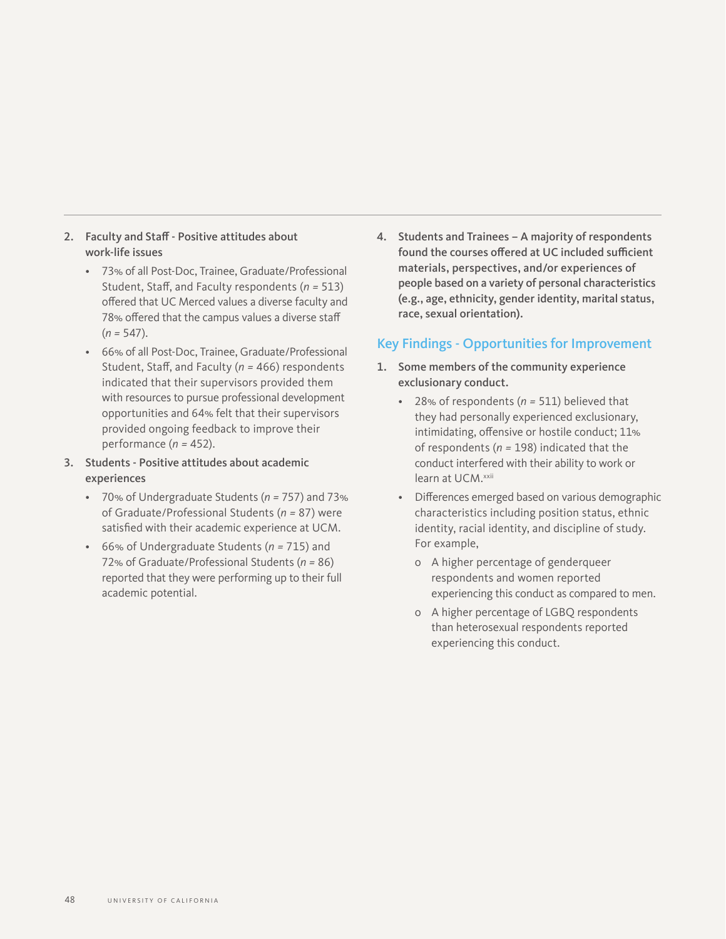- 2. Faculty and Staff Positive attitudes about work-life issues
	- 73% of all Post-Doc, Trainee, Graduate/Professional Student, Staff, and Faculty respondents (*n =* 513) offered that UC Merced values a diverse faculty and 78% offered that the campus values a diverse staff (*n =* 547).
	- 66% of all Post-Doc, Trainee, Graduate/Professional Student, Staff, and Faculty (*n =* 466) respondents indicated that their supervisors provided them with resources to pursue professional development opportunities and 64% felt that their supervisors provided ongoing feedback to improve their performance (*n =* 452).
- 3. Students Positive attitudes about academic experiences
	- 70% of Undergraduate Students (*n =* 757) and 73% of Graduate/Professional Students (*n =* 87) were satisfied with their academic experience at UCM.
	- 66% of Undergraduate Students (*n =* 715) and 72% of Graduate/Professional Students (*n =* 86) reported that they were performing up to their full academic potential.

4. Students and Trainees – A majority of respondents found the courses offered at UC included sufficient materials, perspectives, and/or experiences of people based on a variety of personal characteristics (e.g., age, ethnicity, gender identity, marital status, race, sexual orientation).

### Key Findings - Opportunities for Improvement

- 1. Some members of the community experience exclusionary conduct.
	- 28% of respondents (*n =* 511) believed that they had personally experienced exclusionary, intimidating, offensive or hostile conduct; 11% of respondents (*n =* 198) indicated that the conduct interfered with their ability to work or learn at UCM.xxii
	- Differences emerged based on various demographic characteristics including position status, ethnic identity, racial identity, and discipline of study. For example,
		- о A higher percentage of genderqueer respondents and women reported experiencing this conduct as compared to men.
		- о A higher percentage of LGBQ respondents than heterosexual respondents reported experiencing this conduct.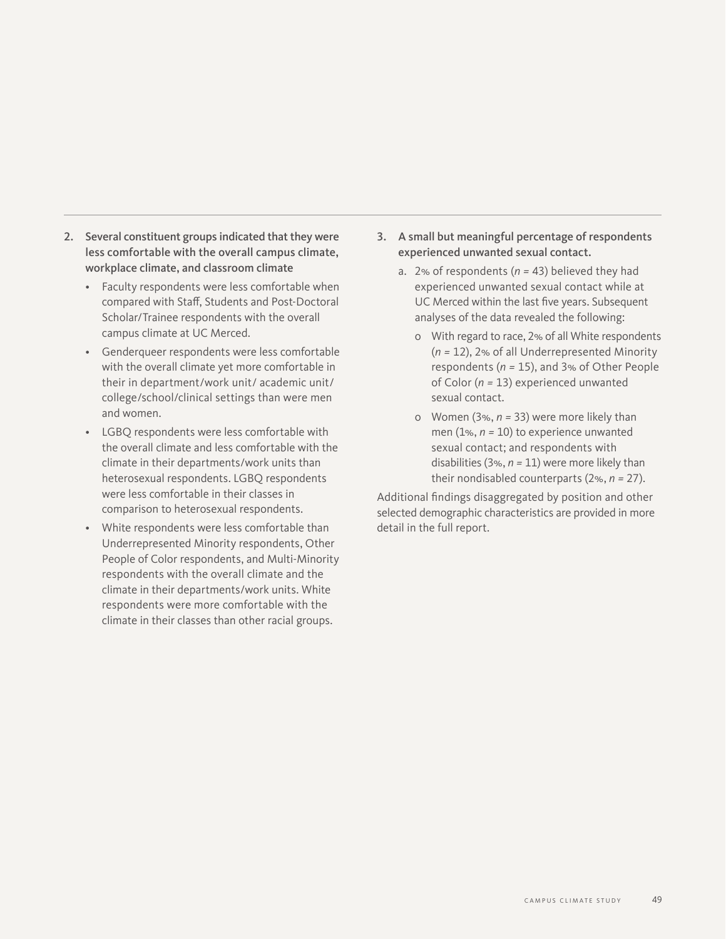- 2. Several constituent groups indicated that they were less comfortable with the overall campus climate, workplace climate, and classroom climate
	- Faculty respondents were less comfortable when compared with Staff, Students and Post-Doctoral Scholar/Trainee respondents with the overall campus climate at UC Merced.
	- Genderqueer respondents were less comfortable with the overall climate yet more comfortable in their in department/work unit/ academic unit/ college/school/clinical settings than were men and women.
	- LGBQ respondents were less comfortable with the overall climate and less comfortable with the climate in their departments/work units than heterosexual respondents. LGBQ respondents were less comfortable in their classes in comparison to heterosexual respondents.
	- White respondents were less comfortable than Underrepresented Minority respondents, Other People of Color respondents, and Multi-Minority respondents with the overall climate and the climate in their departments/work units. White respondents were more comfortable with the climate in their classes than other racial groups.
- 3. A small but meaningful percentage of respondents experienced unwanted sexual contact.
	- a. 2% of respondents (*n =* 43) believed they had experienced unwanted sexual contact while at UC Merced within the last five years. Subsequent analyses of the data revealed the following:
		- о With regard to race, 2% of all White respondents (*n =* 12), 2% of all Underrepresented Minority respondents (*n =* 15), and 3% of Other People of Color (*n =* 13) experienced unwanted sexual contact.
		- о Women (3%, *n =* 33) were more likely than men (1%, *n =* 10) to experience unwanted sexual contact; and respondents with disabilities (3%, *n =* 11) were more likely than their nondisabled counterparts (2%, *n =* 27).

Additional findings disaggregated by position and other selected demographic characteristics are provided in more detail in the full report.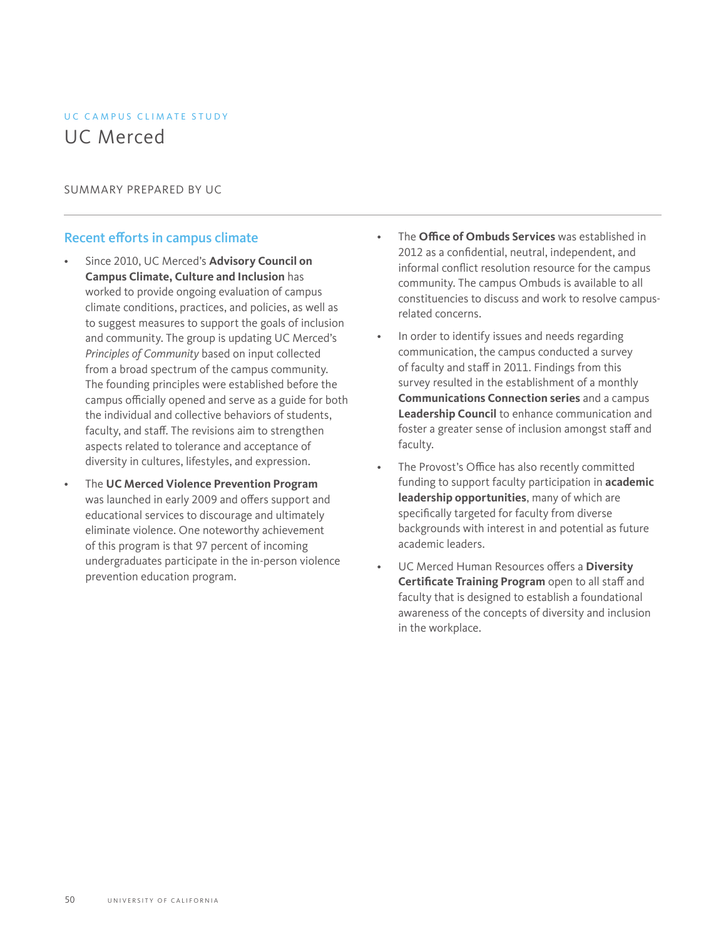# UC CAMPUS CLIMATE STUDY UC Merced

#### SUMMARY PREPARED BY UC

### Recent efforts in campus climate

- Since 2010, UC Merced's **Advisory Council on Campus Climate, Culture and Inclusion** has worked to provide ongoing evaluation of campus climate conditions, practices, and policies, as well as to suggest measures to support the goals of inclusion and community. The group is updating UC Merced's *Principles of Community* based on input collected from a broad spectrum of the campus community. The founding principles were established before the campus officially opened and serve as a guide for both the individual and collective behaviors of students, faculty, and staff. The revisions aim to strengthen aspects related to tolerance and acceptance of diversity in cultures, lifestyles, and expression.
- The **UC Merced Violence Prevention Program** was launched in early 2009 and offers support and educational services to discourage and ultimately eliminate violence. One noteworthy achievement of this program is that 97 percent of incoming undergraduates participate in the in-person violence prevention education program.
- The **Office of Ombuds Services** was established in 2012 as a confidential, neutral, independent, and informal conflict resolution resource for the campus community. The campus Ombuds is available to all constituencies to discuss and work to resolve campusrelated concerns.
- In order to identify issues and needs regarding communication, the campus conducted a survey of faculty and staff in 2011. Findings from this survey resulted in the establishment of a monthly **Communications Connection series** and a campus **Leadership Council** to enhance communication and foster a greater sense of inclusion amongst staff and faculty.
- The Provost's Office has also recently committed funding to support faculty participation in **academic leadership opportunities**, many of which are specifically targeted for faculty from diverse backgrounds with interest in and potential as future academic leaders.
- UC Merced Human Resources offers a **Diversity Certificate Training Program** open to all staff and faculty that is designed to establish a foundational awareness of the concepts of diversity and inclusion in the workplace.